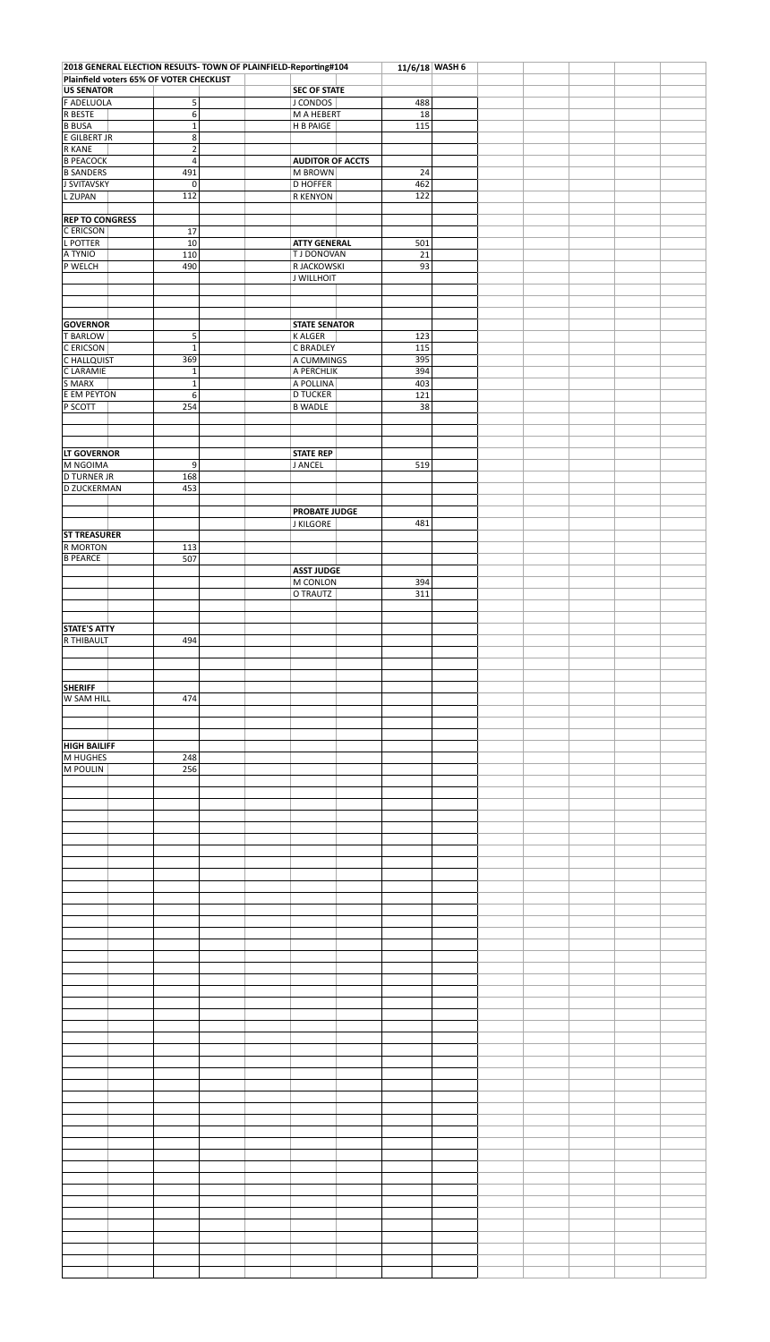| 2018 GENERAL ELECTION RESULTS- TOWN OF PLAINFIELD-Reporting#104 |                             |  |                                          |            | 11/6/18 WASH 6 |  |  |  |
|-----------------------------------------------------------------|-----------------------------|--|------------------------------------------|------------|----------------|--|--|--|
| Plainfield voters 65% OF VOTER CHECKLIST                        |                             |  |                                          |            |                |  |  |  |
| <b>US SENATOR</b><br>F ADELUOLA                                 |                             |  | <b>SEC OF STATE</b><br>J CONDOS          | 488        |                |  |  |  |
| R BESTE                                                         | 5<br>$\boldsymbol{6}$       |  | M A HEBERT                               | 18         |                |  |  |  |
| <b>B</b> BUSA                                                   | $\mathbf{1}$                |  | H B PAIGE                                | 115        |                |  |  |  |
| E GILBERT JR                                                    | $\bf 8$                     |  |                                          |            |                |  |  |  |
| R KANE<br><b>B PEACOCK</b>                                      | $\overline{2}$<br>$\pmb{4}$ |  | <b>AUDITOR OF ACCTS</b>                  |            |                |  |  |  |
| <b>B SANDERS</b>                                                | 491                         |  | M BROWN                                  | 24         |                |  |  |  |
| <b>J SVITAVSKY</b>                                              | $\mathbf 0$                 |  | <b>D HOFFER</b>                          | 462        |                |  |  |  |
| L ZUPAN                                                         | 112                         |  | R KENYON                                 | 122        |                |  |  |  |
|                                                                 |                             |  |                                          |            |                |  |  |  |
| <b>REP TO CONGRESS</b><br>C ERICSON                             | $17$                        |  |                                          |            |                |  |  |  |
| L POTTER                                                        | 10                          |  | <b>ATTY GENERAL</b>                      | 501        |                |  |  |  |
| A TYNIO                                                         | 110                         |  | <b>TJ DONOVAN</b>                        | 21         |                |  |  |  |
| $\overline{P}$ WELCH                                            | 490                         |  | R JACKOWSKI                              | 93         |                |  |  |  |
|                                                                 |                             |  | <b>J WILLHOIT</b>                        |            |                |  |  |  |
|                                                                 |                             |  |                                          |            |                |  |  |  |
|                                                                 |                             |  |                                          |            |                |  |  |  |
| <b>GOVERNOR</b>                                                 |                             |  | <b>STATE SENATOR</b>                     |            |                |  |  |  |
| T BARLOW<br>C ERICSON                                           | 5<br>$\mathbf 1$            |  | <b>KALGER</b><br><b>C BRADLEY</b>        | 123<br>115 |                |  |  |  |
| C HALLQUIST                                                     | 369                         |  | A CUMMINGS                               | 395        |                |  |  |  |
| C LARAMIE                                                       | $\mathbf 1$                 |  | A PERCHLIK                               | 394        |                |  |  |  |
| S MARX                                                          | $\mathbf 1$                 |  | A POLLINA                                | 403        |                |  |  |  |
| E EM PEYTON<br>P SCOTT                                          | $\boldsymbol{6}$<br>254     |  | <b>D TUCKER</b><br><b>B WADLE</b>        | 121<br>38  |                |  |  |  |
|                                                                 |                             |  |                                          |            |                |  |  |  |
|                                                                 |                             |  |                                          |            |                |  |  |  |
|                                                                 |                             |  | <b>STATE REP</b>                         |            |                |  |  |  |
| <b>LT GOVERNOR</b><br>M NGOIMA                                  | 9                           |  | <b>J ANCEL</b>                           | 519        |                |  |  |  |
| <b>D TURNER JR</b>                                              | 168                         |  |                                          |            |                |  |  |  |
| D ZUCKERMAN                                                     | 453                         |  |                                          |            |                |  |  |  |
|                                                                 |                             |  |                                          |            |                |  |  |  |
|                                                                 |                             |  | <b>PROBATE JUDGE</b><br><b>J KILGORE</b> | 481        |                |  |  |  |
| <b>ST TREASURER</b>                                             |                             |  |                                          |            |                |  |  |  |
| R MORTON                                                        | 113                         |  |                                          |            |                |  |  |  |
| <b>B PEARCE</b>                                                 | 507                         |  |                                          |            |                |  |  |  |
|                                                                 |                             |  | <b>ASST JUDGE</b><br>M CONLON            | 394        |                |  |  |  |
|                                                                 |                             |  | O TRAUTZ                                 | 311        |                |  |  |  |
|                                                                 |                             |  |                                          |            |                |  |  |  |
|                                                                 |                             |  |                                          |            |                |  |  |  |
| <b>STATE'S ATTY</b><br>R THIBAULT                               | 494                         |  |                                          |            |                |  |  |  |
|                                                                 |                             |  |                                          |            |                |  |  |  |
|                                                                 |                             |  |                                          |            |                |  |  |  |
|                                                                 |                             |  |                                          |            |                |  |  |  |
| <b>SHERIFF</b><br>W SAM HILL                                    | 474                         |  |                                          |            |                |  |  |  |
|                                                                 |                             |  |                                          |            |                |  |  |  |
|                                                                 |                             |  |                                          |            |                |  |  |  |
|                                                                 |                             |  |                                          |            |                |  |  |  |
| <b>HIGH BAILIFF</b><br>M HUGHES                                 | 248                         |  |                                          |            |                |  |  |  |
| M POULIN                                                        | 256                         |  |                                          |            |                |  |  |  |
|                                                                 |                             |  |                                          |            |                |  |  |  |
|                                                                 |                             |  |                                          |            |                |  |  |  |
|                                                                 |                             |  |                                          |            |                |  |  |  |
|                                                                 |                             |  |                                          |            |                |  |  |  |
|                                                                 |                             |  |                                          |            |                |  |  |  |
|                                                                 |                             |  |                                          |            |                |  |  |  |
|                                                                 |                             |  |                                          |            |                |  |  |  |
|                                                                 |                             |  |                                          |            |                |  |  |  |
|                                                                 |                             |  |                                          |            |                |  |  |  |
|                                                                 |                             |  |                                          |            |                |  |  |  |
|                                                                 |                             |  |                                          |            |                |  |  |  |
|                                                                 |                             |  |                                          |            |                |  |  |  |
|                                                                 |                             |  |                                          |            |                |  |  |  |
|                                                                 |                             |  |                                          |            |                |  |  |  |
|                                                                 |                             |  |                                          |            |                |  |  |  |
|                                                                 |                             |  |                                          |            |                |  |  |  |
|                                                                 |                             |  |                                          |            |                |  |  |  |
|                                                                 |                             |  |                                          |            |                |  |  |  |
|                                                                 |                             |  |                                          |            |                |  |  |  |
|                                                                 |                             |  |                                          |            |                |  |  |  |
|                                                                 |                             |  |                                          |            |                |  |  |  |
|                                                                 |                             |  |                                          |            |                |  |  |  |
|                                                                 |                             |  |                                          |            |                |  |  |  |
|                                                                 |                             |  |                                          |            |                |  |  |  |
|                                                                 |                             |  |                                          |            |                |  |  |  |
|                                                                 |                             |  |                                          |            |                |  |  |  |
|                                                                 |                             |  |                                          |            |                |  |  |  |
|                                                                 |                             |  |                                          |            |                |  |  |  |
|                                                                 |                             |  |                                          |            |                |  |  |  |
|                                                                 |                             |  |                                          |            |                |  |  |  |
|                                                                 |                             |  |                                          |            |                |  |  |  |
|                                                                 |                             |  |                                          |            |                |  |  |  |
|                                                                 |                             |  |                                          |            |                |  |  |  |
|                                                                 |                             |  |                                          |            |                |  |  |  |
|                                                                 |                             |  |                                          |            |                |  |  |  |